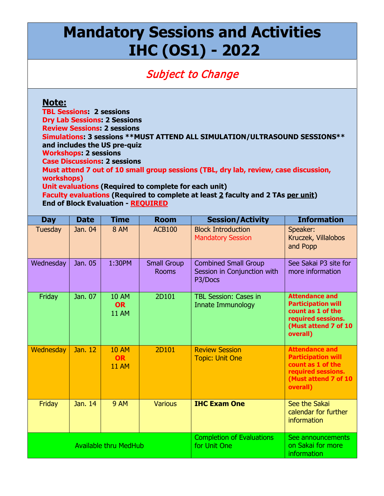# **Mandatory Sessions and Activities IHC (OS1) - 2022**

# Subject to Change

## **Note:**

**TBL Sessions: 2 sessions Dry Lab Sessions: 2 Sessions Review Sessions: 2 sessions Simulations: 3 sessions \*\*MUST ATTEND ALL SIMULATION/ULTRASOUND SESSIONS\*\* and includes the US pre-quiz Workshops: 2 sessions Case Discussions: 2 sessions Must attend 7 out of 10 small group sessions (TBL, dry lab, review, case discussion, workshops) Unit evaluations (Required to complete for each unit) Faculty evaluations (Required to complete at least 2 faculty and 2 TAs per unit) End of Block Evaluation - REQUIRED**

| <b>Day</b>                   | <b>Date</b> | <b>Time</b>                               | <b>Room</b>                        | <b>Session/Activity</b>                                               | <b>Information</b>                                                                                                                |
|------------------------------|-------------|-------------------------------------------|------------------------------------|-----------------------------------------------------------------------|-----------------------------------------------------------------------------------------------------------------------------------|
| Tuesday                      | Jan. 04     | <b>8 AM</b>                               | <b>ACB100</b>                      | <b>Block Introduction</b><br><b>Mandatory Session</b>                 | Speaker:<br>Kruczek, Villalobos<br>and Popp                                                                                       |
| Wednesday                    | Jan. 05     | 1:30PM                                    | <b>Small Group</b><br><b>Rooms</b> | <b>Combined Small Group</b><br>Session in Conjunction with<br>P3/Docs | See Sakai P3 site for<br>more information                                                                                         |
| Friday                       | Jan. 07     | <b>10 AM</b><br><b>OR</b><br><b>11 AM</b> | 2D101                              | <b>TBL Session: Cases in</b><br>Innate Immunology                     | <b>Attendance and</b><br><b>Participation will</b><br>count as 1 of the<br>required sessions.<br>(Must attend 7 of 10<br>overall) |
| Wednesday                    | Jan. 12     | <b>10 AM</b><br><b>OR</b><br><b>11 AM</b> | 2D101                              | <b>Review Session</b><br><b>Topic: Unit One</b>                       | <b>Attendance and</b><br><b>Participation will</b><br>count as 1 of the<br>required sessions.<br>(Must attend 7 of 10<br>overall) |
| Friday                       | Jan. 14     | <b>9 AM</b>                               | <b>Various</b>                     | <b>IHC Exam One</b>                                                   | See the Sakai<br>calendar for further<br>information                                                                              |
| <b>Available thru MedHub</b> |             |                                           |                                    | <b>Completion of Evaluations</b><br>for Unit One                      | See announcements<br>on Sakai for more<br>information                                                                             |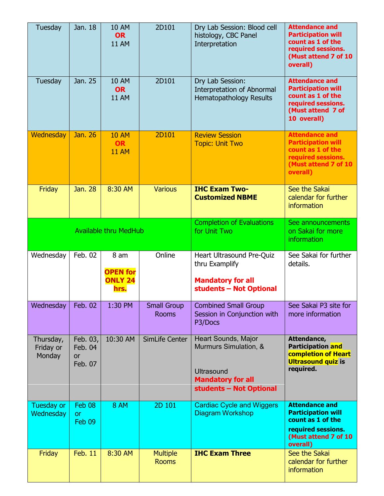| Tuesday                          | Jan. 18                                     | <b>10 AM</b><br><b>OR</b><br><b>11 AM</b>         | 2D101                              | Dry Lab Session: Blood cell<br>histology, CBC Panel<br>Interpretation                                                    | <b>Attendance and</b><br><b>Participation will</b><br>count as 1 of the<br>required sessions.<br>(Must attend 7 of 10<br>overall) |
|----------------------------------|---------------------------------------------|---------------------------------------------------|------------------------------------|--------------------------------------------------------------------------------------------------------------------------|-----------------------------------------------------------------------------------------------------------------------------------|
| <b>Tuesday</b>                   | Jan. 25                                     | <b>10 AM</b><br><b>OR</b><br><b>11 AM</b>         | 2D101                              | Dry Lab Session:<br><b>Interpretation of Abnormal</b><br><b>Hematopathology Results</b>                                  | <b>Attendance and</b><br><b>Participation will</b><br>count as 1 of the<br>required sessions.<br>(Must attend 7 of<br>10 overall) |
| Wednesday                        | Jan. 26                                     | <b>10 AM</b><br><b>OR</b><br><b>11 AM</b>         | 2D101                              | <b>Review Session</b><br><b>Topic: Unit Two</b>                                                                          | <b>Attendance and</b><br><b>Participation will</b><br>count as 1 of the<br>required sessions.<br>(Must attend 7 of 10<br>overall) |
| Friday                           | Jan. 28                                     | 8:30 AM                                           | <b>Various</b>                     | <b>IHC Exam Two-</b><br><b>Customized NBME</b>                                                                           | See the Sakai<br>calendar for further<br><b>information</b>                                                                       |
| <b>Available thru MedHub</b>     |                                             |                                                   |                                    | <b>Completion of Evaluations</b><br>for Unit Two                                                                         | See announcements<br>on Sakai for more<br><i>information</i>                                                                      |
| Wednesday                        | Feb. 02                                     | 8 am<br><b>OPEN for</b><br><b>ONLY 24</b><br>hrs. | Online                             | Heart Ultrasound Pre-Quiz<br>thru Examplify<br><b>Mandatory for all</b><br>students - Not Optional                       | See Sakai for further<br>details.                                                                                                 |
| Wednesday                        | Feb. 02                                     | 1:30 PM                                           | <b>Small Group</b><br><b>Rooms</b> | <b>Combined Small Group</b><br>Session in Conjunction with<br>P3/Docs                                                    | See Sakai P3 site for<br>more information                                                                                         |
| Thursday,<br>Friday or<br>Monday | Feb. 03,<br>Feb. 04<br><b>or</b><br>Feb. 07 | 10:30 AM                                          | SimLife Center                     | Heart Sounds, Major<br>Murmurs Simulation, &<br><b>Ultrasound</b><br><b>Mandatory for all</b><br>students - Not Optional | Attendance,<br><b>Participation and</b><br><b>completion of Heart</b><br><b>Ultrasound quiz is</b><br>required.                   |
| Tuesday or<br>Wednesday          | Feb 08<br><b>or</b><br>Feb 09               | <b>8 AM</b>                                       | 2D 101                             | <b>Cardiac Cycle and Wiggers</b><br><b>Diagram Workshop</b>                                                              | <b>Attendance and</b><br><b>Participation will</b><br>count as 1 of the<br>required sessions.<br>(Must attend 7 of 10<br>overall) |
| Friday                           | <b>Feb. 11</b>                              | 8:30 AM                                           | <b>Multiple</b><br><b>Rooms</b>    | <b>IHC Exam Three</b>                                                                                                    | See the Sakai<br>calendar for further<br>information                                                                              |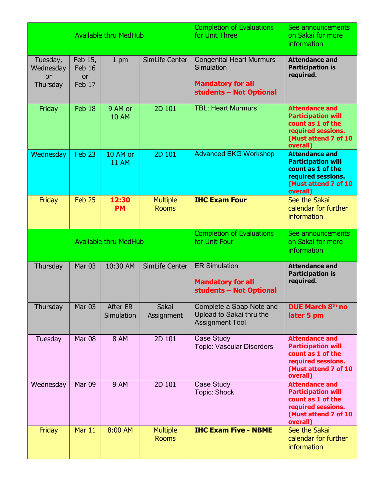| <b>Available thru MedHub</b>                   |                                          |                               |                                 | <b>Completion of Evaluations</b><br>for Unit Three                                                   | See announcements<br>on Sakai for more<br>information                                                                             |
|------------------------------------------------|------------------------------------------|-------------------------------|---------------------------------|------------------------------------------------------------------------------------------------------|-----------------------------------------------------------------------------------------------------------------------------------|
| Tuesday,<br>Wednesday<br><b>or</b><br>Thursday | Feb 15,<br>Feb 16<br><b>or</b><br>Feb 17 | $1 \text{ pm}$                | SimLife Center                  | <b>Congenital Heart Murmurs</b><br>Simulation<br><b>Mandatory for all</b><br>students - Not Optional | <b>Attendance and</b><br><b>Participation is</b><br>required.                                                                     |
| Friday                                         | Feb 18                                   | 9 AM or<br><b>10 AM</b>       | 2D 101                          | <b>TBL: Heart Murmurs</b>                                                                            | <b>Attendance and</b><br><b>Participation will</b><br>count as 1 of the<br>required sessions.<br>(Must attend 7 of 10<br>overall) |
| Wednesday                                      | Feb <sub>23</sub>                        | 10 AM or<br><b>11 AM</b>      | 2D 101                          | <b>Advanced EKG Workshop</b>                                                                         | <b>Attendance and</b><br><b>Participation will</b><br>count as 1 of the<br>required sessions.<br>(Must attend 7 of 10<br>overall) |
| Friday                                         | Feb 25                                   | 12:30<br><b>PM</b>            | <b>Multiple</b><br><b>Rooms</b> | <b>IHC Exam Four</b>                                                                                 | See the Sakai<br>calendar for further<br>information                                                                              |
| <b>Available thru MedHub</b>                   |                                          |                               |                                 | <b>Completion of Evaluations</b><br>for Unit Four                                                    | See announcements<br>on Sakai for more<br><b>information</b>                                                                      |
| Thursday                                       | <b>Mar 03</b>                            | 10:30 AM                      | SimLife Center                  | <b>ER Simulation</b><br><b>Mandatory for all</b><br>students - Not Optional                          | <b>Attendance and</b><br><b>Participation is</b><br>required.                                                                     |
| Thursday                                       | <b>Mar 03</b>                            | <b>After ER</b><br>Simulation | Sakai<br>Assignment             | Complete a Soap Note and<br>Upload to Sakai thru the<br><b>Assignment Tool</b>                       | DUE March 8th no<br>later 5 pm                                                                                                    |
| Tuesday                                        | <b>Mar 08</b>                            | <b>8 AM</b>                   | 2D 101                          | Case Study<br><b>Topic: Vascular Disorders</b>                                                       | <b>Attendance and</b><br><b>Participation will</b><br>count as 1 of the<br>required sessions.<br>(Must attend 7 of 10<br>overall) |
| Wednesday                                      | Mar 09                                   | <b>9 AM</b>                   | 2D 101                          | Case Study<br><b>Topic: Shock</b>                                                                    | <b>Attendance and</b><br><b>Participation will</b><br>count as 1 of the<br>required sessions.<br>(Must attend 7 of 10<br>overall) |
| Friday                                         | Mar 11                                   | 8:00 AM                       | <b>Multiple</b><br><b>Rooms</b> | <b>IHC Exam Five - NBME</b>                                                                          | See the Sakai<br>calendar for further<br>information                                                                              |